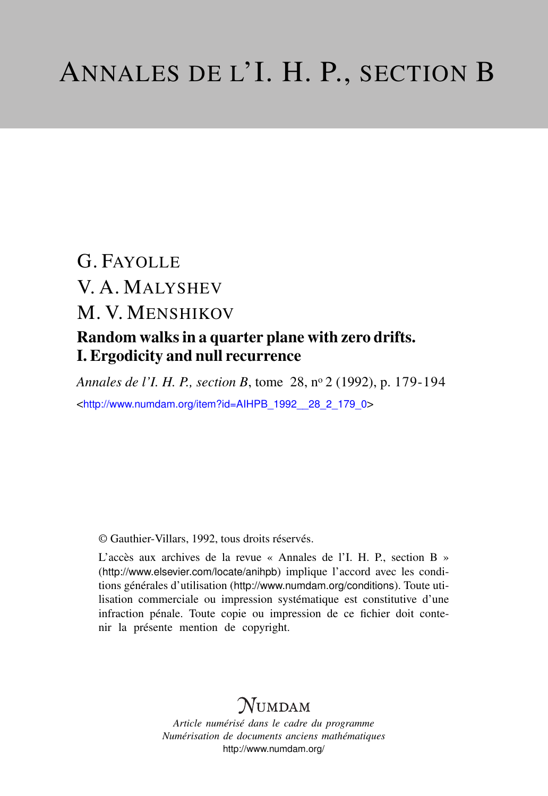# G. FAYOLLE V. A. MALYSHEV M. V. MENSHIKOV Random walks in a quarter plane with zero drifts. I. Ergodicity and null recurrence

*Annales de l'I. H. P., section B*, tome 28, n<sup>o</sup> 2 (1992), p. 179-194 <[http://www.numdam.org/item?id=AIHPB\\_1992\\_\\_28\\_2\\_179\\_0](http://www.numdam.org/item?id=AIHPB_1992__28_2_179_0)>

© Gauthier-Villars, 1992, tous droits réservés.

L'accès aux archives de la revue « Annales de l'I. H. P., section B » (<http://www.elsevier.com/locate/anihpb>) implique l'accord avec les conditions générales d'utilisation (<http://www.numdam.org/conditions>). Toute utilisation commerciale ou impression systématique est constitutive d'une infraction pénale. Toute copie ou impression de ce fichier doit contenir la présente mention de copyright.

# $N$ UMDAM

*Article numérisé dans le cadre du programme Numérisation de documents anciens mathématiques* <http://www.numdam.org/>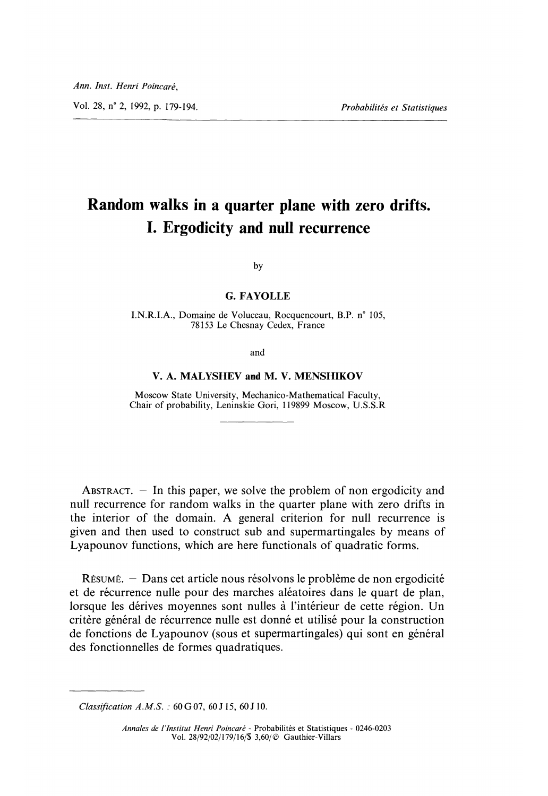Vol. 28, n° 2, 1992, p. 179-194.

Probabilités et Statistiques

## Random walks in a quarter plane with zero drifts. I. Ergodicity and null recurrence

by

#### G. FAYOLLE

I.N.R.I.A., Domaine de Voluceau, Rocquencourt, B.P. n° 105, 78153 Le Chesnay Cedex, France

and

#### V. A. MALYSHEV and M. V. MENSHIKOV

Moscow State University, Mechanico-Mathematical Faculty, Chair of probability, Leninskie Gori, 119899 Moscow, U.S.S.R

ABSTRACT.  $-$  In this paper, we solve the problem of non ergodicity and null recurrence for random walks in the quarter plane with zero drifts in the interior of the domain. A general criterion for null recurrence is given and then used to construct sub and supermartingales by means of Lyapounov functions, which are here functionals of quadratic forms.

RÉSUMÉ. - Dans cet article nous résolvons le problème de non ergodicité et de récurrence nulle pour des marches aléatoires dans le quart de plan, lorsque les derives moyennes sont nulles à l'intérieur de cette region. Un critère général de récurrence nulle est donné et utilisé pour la construction de fonctions de Lyapounov (sous et supermartingales) qui sont en général des fonctionnelles de formes quadratiques.

Classification A.M.S. : 60 G 07, 60 J 15, 60 J 10.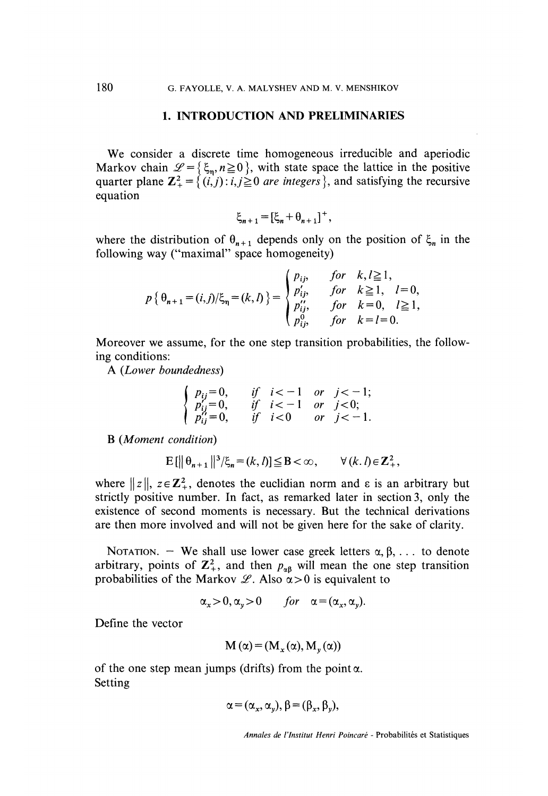#### 1. INTRODUCTION AND PRELIMINARIES

We consider a discrete time homogeneous irreducible and aperiodic Markov chain  $\mathcal{L} = \{\xi_n, n \geq 0\}$ , with state space the lattice in the positive quarter plane  $\mathbb{Z}_{+}^{2} = \{(i, j) : i, j \geq 0 \text{ are integers } \},$  and satisfying the recursive equation

$$
\xi_{n+1} = [\xi_n + \theta_{n+1}]^+,
$$

where the distribution of  $\theta_{n+1}$  depends only on the position of  $\xi_n$  in the following way ("maximal" space homogeneity)

$$
p\{\theta_{n+1} = (i,j)/\xi_n = (k,l)\} = \begin{cases} p_{ij}, & \text{for} \quad k, l \ge 1, \\ p'_{ij}, & \text{for} \quad k \ge 1, \quad l = 0, \\ p''_{ij}, & \text{for} \quad k = 0, \quad l \ge 1, \\ p^{0}_{ij}, & \text{for} \quad k = l = 0. \end{cases}
$$

Moreover we assume, for the one step transition probabilities, the following conditions:

A (Lower boundedness)

$$
\begin{cases}\np_{ij} = 0, & if \ i < -1 \ or \ j < -1; \\
p'_{ij} = 0, & if \ i < -1 \ or \ j < 0; \\
p''_{ij} = 0, & if \ i < 0 \ or \ j < -1.\n\end{cases}
$$

B (Moment condition)

$$
\mathbf{E}\left[\|\theta_{n+1}\|^{3}/\xi_{n} = (k,l)\right] \leq \mathbf{B} < \infty, \qquad \forall (k,l) \in \mathbb{Z}_{+}^{2},
$$

where  $||z||$ ,  $z \in \mathbb{Z}_+^2$ , denotes the euclidian norm and  $\varepsilon$  is an arbitrary but strictly positive number. In fact, as remarked later in section 3, only the existence of second moments is necessary. But the technical derivations are then more involved and will not be given here for the sake of clarity.

NOTATION. - We shall use lower case greek letters  $\alpha, \beta, \ldots$  to denote arbitrary, points of  $\mathbb{Z}_+^2$ , and then  $p_{\alpha\beta}$  will mean the one step transition probabilities of the Markov  $\mathscr{L}$ . Also  $\alpha > 0$  is equivalent to

$$
\alpha_x > 0, \alpha_y > 0 \quad for \quad \alpha = (\alpha_x, \alpha_y).
$$

Define the vector

$$
M(\alpha) = (M_x(\alpha), M_y(\alpha))
$$

of the one step mean jumps (drifts) from the point  $\alpha$ . Setting

$$
\alpha = (\alpha_x, \alpha_y), \beta = (\beta_x, \beta_y),
$$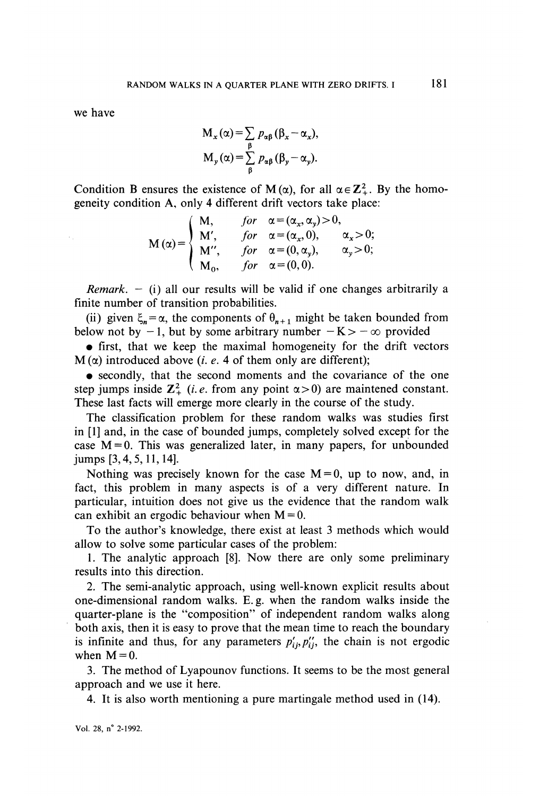we have

 $\mathcal{L}_{\mathrm{in}}$ 

$$
M_x(\alpha) = \sum_{\beta} p_{\alpha\beta} (\beta_x - \alpha_x),
$$
  

$$
M_y(\alpha) = \sum_{\beta} p_{\alpha\beta} (\beta_y - \alpha_y).
$$

Condition B ensures the existence of  $M(\alpha)$ , for all  $\alpha \in \mathbb{Z}_+^2$ . By the homogeneity condition A, only 4 different drift vectors take place:

$$
M(\alpha) = \begin{cases} M, & \text{for } \alpha = (\alpha_x, \alpha_y) > 0, \\ M', & \text{for } \alpha = (\alpha_x, 0), \\ M'', & \text{for } \alpha = (0, \alpha_y), \\ M_0, & \text{for } \alpha = (0, 0). \end{cases} \alpha_y > 0;
$$

*Remark.*  $-$  (i) all our results will be valid if one changes arbitrarily a finite number of transition probabilities.

(ii) given  $\xi_n = \alpha$ , the components of  $\theta_{n+1}$  might be taken bounded from below not by  $-1$ , but by some arbitrary number  $-K>-\infty$  provided

. first, that we keep the maximal homogeneity for the drift vectors  $M(\alpha)$  introduced above (*i. e.* 4 of them only are different);

. secondly, that the second moments and the covariance of the one step jumps inside  $\mathbb{Z}_+^2$  (*i.e.* from any point  $\alpha > 0$ ) are maintened constant. These last facts will emerge more clearly in the course of the study.

The classification problem for these random walks was studies first in [1] and, in the case of bounded jumps, completely solved except for the case  $M=0$ . This was generalized later, in many papers, for unbounded jumps [3,4,5,11,14].

Nothing was precisely known for the case  $M=0$ , up to now, and, in fact, this problem in many aspects is of a very different nature. In particular, intuition does not give us the evidence that the random walk can exhibit an ergodic behaviour when  $M = 0$ .

To the author's knowledge, there exist at least 3 methods which would allow to solve some particular cases of the problem:

1. The analytic approach [8]. Now there are only some preliminary results into this direction.

2. The semi-analytic approach, using well-known explicit results about one-dimensional random walks. E. g. when the random walks inside the quarter-plane is the "composition" of independent random walks along both axis, then it is easy to prove that the mean time to reach the boundary is infinite and thus, for any parameters  $p'_{ij}, p''_{ij}$ , the chain is not ergodic when  $M=0$ .

3. The method of Lyapounov functions. It seems to be the most general approach and we use it here.

4. It is also worth mentioning a pure martingale method used in (14).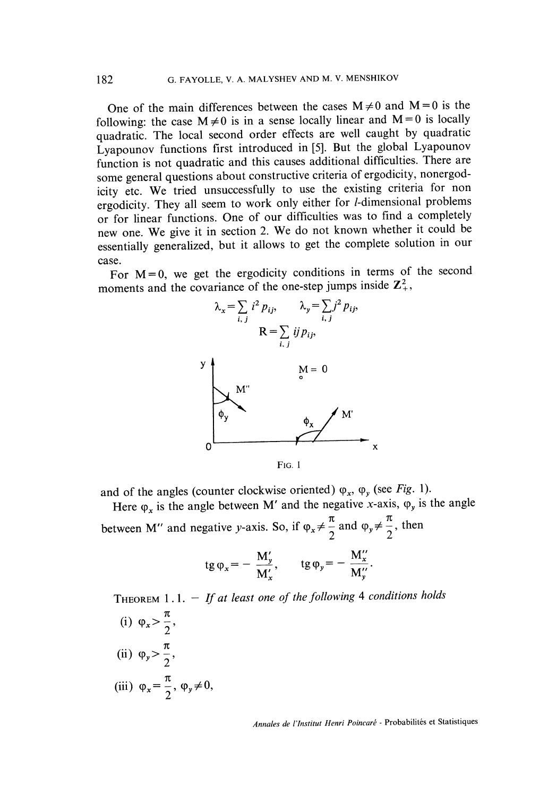One of the main differences between the cases  $M \neq 0$  and  $M = 0$  is the following: the case  $M \neq 0$  is in a sense locally linear and  $M = 0$  is locally quadratic. The local second order effects are well caught by quadratic Lyapounov functions first introduced in [5]. But the global Lyapounov function is not quadratic and this causes additional difficulties. There are some general questions about constructive criteria of ergodicity, nonergodicity etc. We tried unsuccessfully to use the existing criteria for non ergodicity. They all seem to work only either for I-dimensional problems or for linear functions. One of our difficulties was to find a completely new one. We give it in section 2. We do not known whether it could be essentially generalized, but it allows to get the complete solution in our case.

For  $M=0$ , we get the ergodicity conditions in terms of the second moments and the covariance of the one-step jumps inside  $\mathbb{Z}_+^2$ ,



 $Fig. 1$ 

and of the angles (counter clockwise oriented)  $\varphi_x$ ,  $\varphi_y$  (see Fig. 1).

Here  $\varphi_x$  is the angle between M' and the negative x-axis,  $\varphi_y$  is the angle

between M" and negative y-axis. So, if  $\varphi_x \neq \frac{\pi}{2}$  and  $\varphi_y \neq \frac{\pi}{2}$ , then

$$
tg \varphi_x = -\frac{M'_y}{M'_x}, \qquad tg \varphi_y = -\frac{M''_x}{M''_y}.
$$

THEOREM  $1.1. - If$  at least one of the following 4 conditions holds

(i)  $\varphi_x > \frac{\pi}{2}$ , (ii)  $\varphi_y > \frac{\pi}{2}$ , (iii)  $\varphi_x = \frac{\pi}{2}, \varphi_y \neq 0,$ 

Annales de l'Institut Henri Poincaré - Probabilités et Statistiques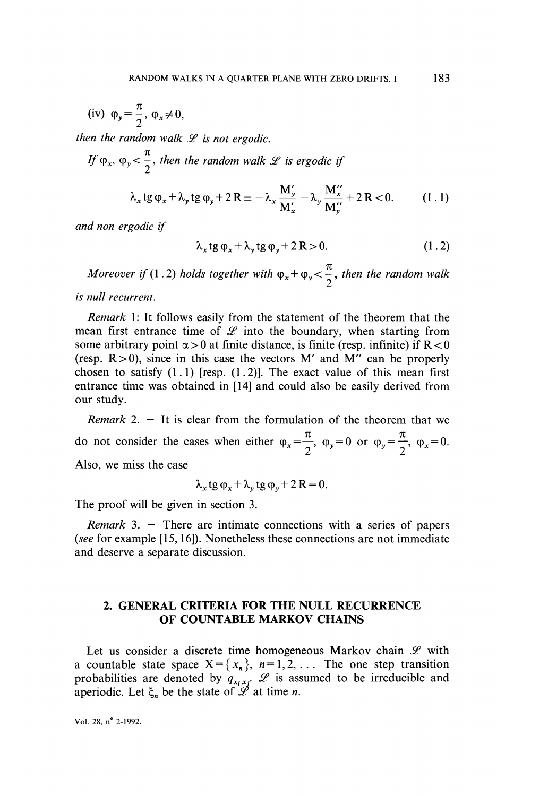(iv) 
$$
\varphi_y = \frac{\pi}{2}, \varphi_x \neq 0,
$$

then the random walk  $\mathscr L$  is not ergodic.

If 
$$
\varphi_x
$$
,  $\varphi_y < \frac{\pi}{2}$ , then the random walk  $\mathscr{L}$  is ergodic if

$$
\lambda_x \tg \varphi_x + \lambda_y \tg \varphi_y + 2 \Re \equiv -\lambda_x \frac{M'_y}{M'_x} - \lambda_y \frac{M''_x}{M''_y} + 2 \Re < 0. \tag{1.1}
$$

and non ergodic if

$$
\lambda_x \tg \varphi_x + \lambda_y \tg \varphi_y + 2R > 0. \tag{1.2}
$$

Moreover if (1.2) holds together with  $\varphi_x + \varphi_y < \frac{\cdot}{2}$ , then the random walk

is null recurrent.

Remark 1: It follows easily from the statement of the theorem that the mean first entrance time of  $\mathscr L$  into the boundary, when starting from some arbitrary point  $\alpha > 0$  at finite distance, is finite (resp. infinite) if  $R < 0$ (resp.  $R > 0$ ), since in this case the vectors M' and M'' can be properly chosen to satisfy  $(1.1)$  [resp.  $(1.2)$ ]. The exact value of this mean first entrance time was obtained in [14] and could also be easily derived from our study.

*Remark* 2.  $-$  It is clear from the formulation of the theorem that we do not consider the cases when either  $\varphi_x = \frac{\pi}{2}$ ,  $\varphi_y = 0$  or  $\varphi_y = \frac{\pi}{2}$ ,  $\varphi_x = 0$ . Also, we miss the case

$$
\lambda_x \tg \varphi_x + \lambda_y \tg \varphi_y + 2 R = 0.
$$

The proof will be given in section 3.

Remark 3. - There are intimate connections with a series of papers (see for example [15, 16]). Nonetheless these connections are not immediate and deserve a separate discussion.

### 2. GENERAL CRITERIA FOR THE NULL RECURRENCE OF COUNTABLE MARKOV CHAINS

Let us consider a discrete time homogeneous Markov chain  $\mathscr L$  with a countable state space  $X = \{x_n\}$ ,  $n = 1, 2, \ldots$  The one step transition probabilities are denoted by  $q_{x_i x_j}$ .  $\mathcal{L}$  is assumed to be irreducible and aperiodic. Let  $\xi_n$  be the state of  $\mathcal{L}$  at time *n*.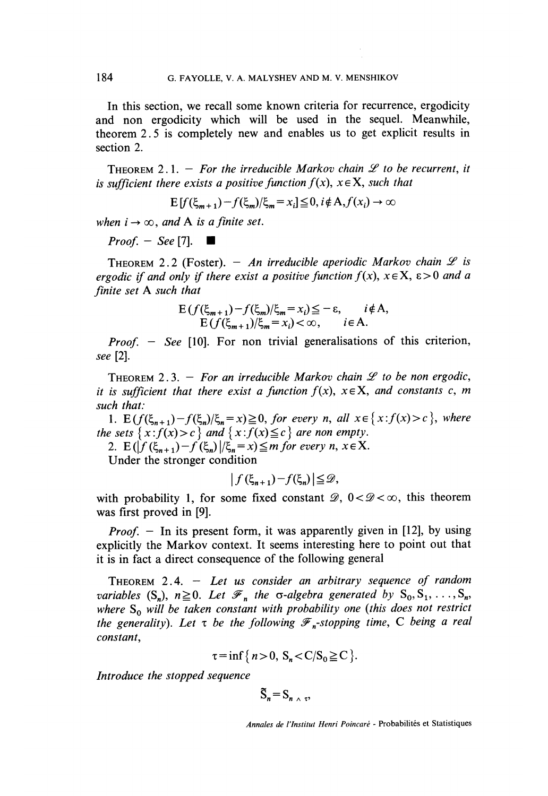In this section, we recall some known criteria for recurrence, ergodicity and non ergodicity which will be used in the sequel. Meanwhile, theorem 2. 5 is completely new and enables us to get explicit results in section 2.

THEOREM 2.1. - For the irreducible Markov chain  $\mathscr L$  to be recurrent, it is sufficient there exists a positive function  $f(x)$ ,  $x \in X$ , such that

$$
E[f(\xi_{m+1}) - f(\xi_m)/\xi_m = x_i] \leq 0, i \notin A, f(x_i) \to \infty
$$

when  $i \rightarrow \infty$ , and A is a finite set.

 $Proof. - See [7].$ 

THEOREM 2.2 (Foster). - An irreducible aperiodic Markov chain  $\mathscr L$  is ergodic if and only if there exist a positive function  $f(x)$ ,  $x \in X$ ,  $\varepsilon > 0$  and a finite set A such that

$$
\mathcal{E}(f(\xi_{m+1})-f(\xi_m)/\xi_m=x_i) \leq -\varepsilon, \qquad i \notin \mathcal{A},
$$
  
 
$$
\mathcal{E}(f(\xi_{m+1})/\xi_m=x_i) < \infty, \qquad i \in \mathcal{A}.
$$

*Proof.*  $-$  *See* [10]. For non trivial generalisations of this criterion, see [2].

THEOREM 2.3. - For an irreducible Markov chain  $\mathscr L$  to be non ergodic, it is sufficient that there exist a function  $f(x)$ ,  $x \in X$ , and constants c, m such that:

1.  $E(f(\xi_{n+1})-f(\xi_n)/\xi_n=x)\geq 0$ , for every n, all  $x \in \{x : f(x) > c\}$ , where the sets  $\{x : f(x) > c \}$  and  $\{x : f(x) \le c \}$  are non empty.

2.  $E(|f(\xi_{n+1})-f(\xi_n)|/\xi_n = x) \leq m$  for every n,  $x \in X$ .

Under the stronger condition

$$
\left|f(\xi_{n+1})-f(\xi_n)\right|\leq\mathcal{D},
$$

with probability 1, for some fixed constant  $\mathcal{D}, 0 < \mathcal{D} < \infty$ , this theorem was first proved in [9].

*Proof.* - In its present form, it was apparently given in [12], by using explicitly the Markov context. It seems interesting here to point out that it is in fact a direct consequence of the following general

THEOREM 2.4.  $-$  Let us consider an arbitrary sequence of random variables  $(S_n)$ ,  $n \geq 0$ . Let  $\mathcal{F}_n$  the  $\sigma$ -algebra generated by  $S_0, S_1, \ldots, S_n$ , where  $S_0$  will be taken constant with probability one (this does not restrict the generality). Let  $\tau$  be the following  $\mathscr{F}_n$ -stopping time, C being a real constant,

$$
\tau = \inf \{ n > 0, S_n < C/S_0 \geq C \}.
$$

Introduce the stopped sequence

$$
\widetilde{S}_n = S_{n \wedge \tau},
$$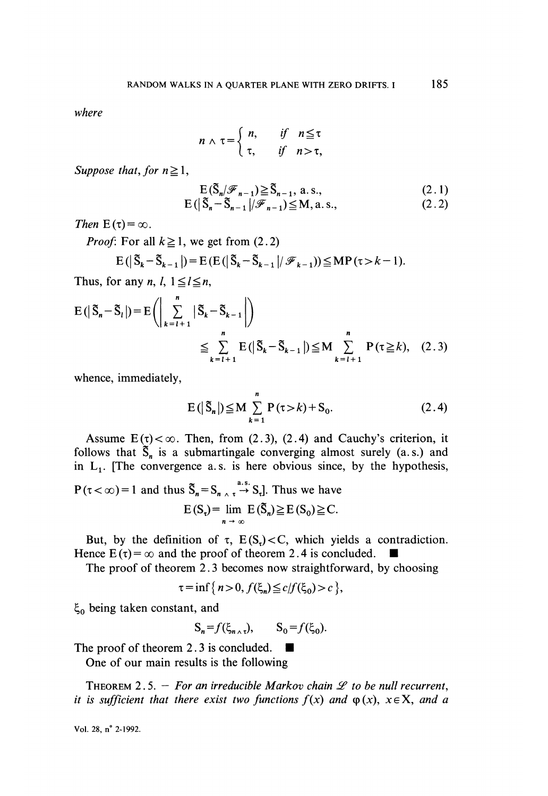where

$$
n \wedge \tau = \begin{cases} n, & \text{if} \quad n \leq \tau \\ \tau, & \text{if} \quad n > \tau, \end{cases}
$$

Suppose that, for  $n \geq 1$ ,

$$
E(\tilde{S}_n | \mathcal{F}_{n-1}) \ge \tilde{S}_{n-1}, \text{ a.s.,}
$$
\n(2.1)  
\n
$$
E(|\tilde{S}_n - \tilde{S}_{n-1}| / \mathcal{F}_{n-1}) \le M, \text{ a.s.,}
$$
\n(2.2)

$$
E(|S_n - S_{n-1}|/\mathscr{F}_{n-1}) \leq M, a.s.,
$$

Then  $E(\tau) = \infty$ .

 $E$ 

*Proof:* For all  $k \ge 1$ , we get from (2.2)

$$
(|\tilde{S}_k - \tilde{S}_{k-1}|) = E(E(|\tilde{S}_k - \tilde{S}_{k-1}|/\mathscr{F}_{k-1})) \le MP(\tau > k-1)
$$

Thus, for any *n*, *l*,  $1 \le l \le n$ ,

$$
E(|\tilde{S}_n - \tilde{S}_l|) = E\left(\left|\sum_{k=l+1}^n |\tilde{S}_k - \tilde{S}_{k-1}|\right)\right)
$$
  

$$
\leq \sum_{k=l+1}^n E(|\tilde{S}_k - \tilde{S}_{k-1}|) \leq M \sum_{k=l+1}^n P(\tau \geq k), \quad (2.3)
$$

whence, immediately,

$$
E(|\tilde{S}_n|) \le M \sum_{k=1}^n P(\tau > k) + S_0.
$$
 (2.4)

Assume  $E(\tau) < \infty$ . Then, from (2.3), (2.4) and Cauchy's criterion, it follows that  $\tilde{S}_n$  is a submartingale converging almost surely (a.s.) and in  $L_1$ . [The convergence a.s. is here obvious since, by the hypothesis,

$$
P(\tau < \infty) = 1 \text{ and thus } \tilde{S}_n = S_{n \wedge \tau} \stackrel{a.s.}{\rightarrow} S_{\tau}]. \text{ Thus we have}
$$

$$
E(S_{\tau}) = \lim_{n \to \infty} E(\tilde{S}_n) \ge E(S_0) \ge C.
$$

But, by the definition of  $\tau$ ,  $E(S_n) < C$ , which yields a contradiction. Hence  $E(\tau) = \infty$  and the proof of theorem 2.4 is concluded.

The proof of theorem 2. 3 becomes now straightforward, by choosing

$$
\tau = \inf \{ n > 0, f(\xi_n) \le c / f(\xi_0) > c \},
$$

 $\xi_0$  being taken constant, and

$$
S_n = f(\xi_{n \wedge \tau}), \qquad S_0 = f(\xi_0).
$$

The proof of theorem 2.3 is concluded.  $\blacksquare$ 

One of our main results is the following

THEOREM 2.5. - For an irreducible Markov chain  $\mathscr L$  to be null recurrent, it is sufficient that there exist two functions  $f(x)$  and  $\varphi(x)$ ,  $x \in X$ , and a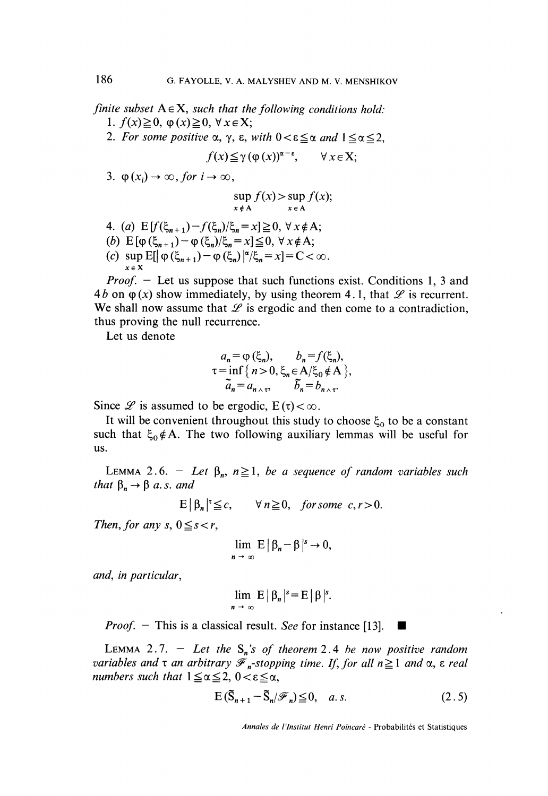finite subset  $A \in X$ , such that the following conditions hold: 1.  $f(x) \geq 0$ ,  $\varphi(x) \geq 0$ ,  $\forall x \in X$ ;

2. For some positive  $\alpha$ ,  $\gamma$ ,  $\varepsilon$ , with  $0 < \varepsilon \leq \alpha$  and  $1 \leq \alpha \leq 2$ ,

$$
f(x) \leq \gamma (\varphi(x))^{\alpha - \varepsilon}, \qquad \forall x \in X;
$$

3.  $\phi(x_i) \rightarrow \infty$ , for  $i \rightarrow \infty$ .

$$
\sup_{x \notin A} f(x) > \sup_{x \in A} f(x);
$$

4. (a)  $E[f(\xi_{n+1})-f(\xi_n)/\xi_n=x] \geq 0, \forall x \notin A;$ (b)  $E[\varphi(\xi_{n+1}) - \varphi(\xi_n)/\xi_n = x] \le 0, \forall x \notin A;$ <br>(c)  $\sup E[|\varphi(\xi_{n+1}) - \varphi(\xi_n)/\xi_n = x] = C < \infty.$  $x \in X$ 

Proof. - Let us suppose that such functions exist. Conditions 1, 3 and 4*b* on  $\varphi$  (x) show immediately, by using theorem 4.1, that  $\mathscr L$  is recurrent. We shall now assume that  $\mathscr L$  is ergodic and then come to a contradiction, thus proving the null recurrence.

Let us denote

$$
a_n = \varphi(\xi_n), \qquad b_n = f(\xi_n),
$$
  
\n
$$
\tau = \inf \{ n > 0, \xi_n \in A/\xi_0 \notin A \},
$$
  
\n
$$
\tilde{a}_n = a_{n \wedge \tau}, \qquad \tilde{b}_n = b_{n \wedge \tau}.
$$

Since  $\mathcal{L}$  is assumed to be ergodic,  $E(\tau) < \infty$ .

It will be convenient throughout this study to choose  $\xi_0$  to be a constant such that  $\xi_0 \notin A$ . The two following auxiliary lemmas will be useful for us.

LEMMA 2.6. - Let  $\beta_n$ ,  $n \ge 1$ , be a sequence of random variables such that  $\beta_n \rightarrow \beta$  a.s. and

 $E|\beta_n|^{\tau} \leq c, \quad \forall n \geq 0, \text{ for some } c, r > 0.$ 

Then, for any  $s, 0 \leq s < r$ ,

$$
\lim_{n \to \infty} E |\beta_n - \beta|^s \to 0,
$$

and, in particular,

$$
\lim_{n \to \infty} E |\beta_n|^s = E |\beta|^s.
$$

*Proof.*  $-$  This is a classical result. See for instance [13].

LEMMA 2.7. - Let the  $S_n$ 's of theorem 2.4 be now positive random variables and  $\tau$  an arbitrary  $\mathcal{F}_n$ -stopping time. If, for all  $n \geq 1$  and  $\alpha$ ,  $\epsilon$  real numbers such that  $1 \le \alpha \le 2$ ,  $0 < \varepsilon \le \alpha$ ,

$$
E\left(\widetilde{S}_{n+1} - \widetilde{S}_n/\mathscr{F}_n\right) \leq 0, \quad a.s. \tag{2.5}
$$

Annales de l'Institut Henri Poincaré - Probabilités et Statistiques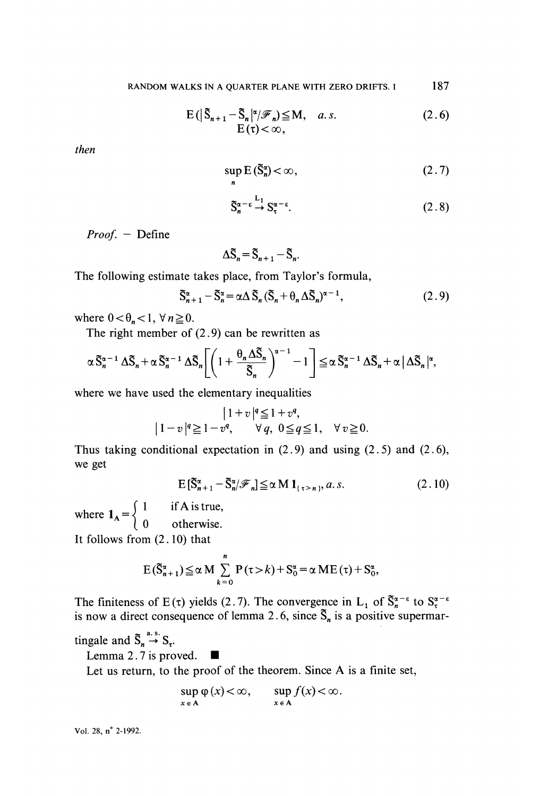$$
E(|\tilde{S}_{n+1} - \tilde{S}_n|^{\alpha} / \mathcal{F}_n) \leq M, \quad a.s.
$$
\n
$$
E(\tau) < \infty,
$$
\n(2.6)

then

$$
\sup_{n} E(\tilde{S}_n^{\alpha}) < \infty, \tag{2.7}
$$

$$
\tilde{S}_n^{\alpha-\epsilon} \stackrel{L_1}{\to} S_\tau^{\alpha-\epsilon}.\tag{2.8}
$$

Proof. - Define

$$
\Delta \widetilde{\mathbf{S}}_n = \widetilde{\mathbf{S}}_{n+1} - \widetilde{\mathbf{S}}_n
$$

The following estimate takes place, from Taylor's formula,

$$
\tilde{S}_{n+1}^{\alpha} - \tilde{S}_n^{\alpha} = \alpha \Delta \tilde{S}_n (\tilde{S}_n + \theta_n \Delta \tilde{S}_n)^{\alpha - 1},
$$
\n(2.9)

where  $0 < \theta_n < 1$ ,  $\forall n \ge 0$ .

The right member of  $(2.9)$  can be rewritten as

$$
\alpha \tilde{S}_n^{\alpha-1} \Delta \tilde{S}_n + \alpha \tilde{S}_n^{\alpha-1} \Delta \tilde{S}_n \left[ \left( 1 + \frac{\theta_n \Delta \tilde{S}_n}{\tilde{S}_n} \right)^{\alpha-1} - 1 \right] \leq \alpha \tilde{S}_n^{\alpha-1} \Delta \tilde{S}_n + \alpha \left| \Delta \tilde{S}_n \right|^\alpha,
$$

where we have used the elementary inequalities

$$
|1+v|^q \le 1+v^q,
$$
  
\n
$$
|1-v|^q \ge 1-v^q, \quad \forall q, 0 \le q \le 1, \quad \forall v \ge 0.
$$

Thus taking conditional expectation in  $(2.9)$  and using  $(2.5)$  and  $(2.6)$ , we get

$$
E\left[\tilde{S}_{n+1}^{\alpha} - \tilde{S}_{n}^{\alpha}/\mathscr{F}_{n}\right] \leq \alpha M 1_{\{\tau > n\}}, a.s. \tag{2.10}
$$

where  $\mathbf{1}_{\mathbf{A}} = \begin{cases} 1 \\ 0 \end{cases}$  $\int 1$  if A is true,  $\begin{pmatrix} 0 & \text{otherwise.} \end{pmatrix}$ 

It follows from (2.10) that

$$
E(\tilde{S}_{n+1}^{\alpha}) \leq \alpha M \sum_{k=0}^{n} P(\tau > k) + S_0^{\alpha} = \alpha ME(\tau) + S_0^{\alpha},
$$

The finiteness of  $E(\tau)$  yields (2.7). The convergence in  $L_1$  of  $S_n^{\alpha-\epsilon}$  to is now a direct consequence of lemma 2.6, since  $S_n$  is a positive supermar-

tingale and  $\tilde{S}_n \stackrel{a.s.}{\rightarrow} S_{\tau}$ .

Lemma 2. 7 is proved..

Let us return, to the proof of the theorem. Since A is a finite set,

$$
\sup_{x \in A} \varphi(x) < \infty, \qquad \sup_{x \in A} f(x) < \infty.
$$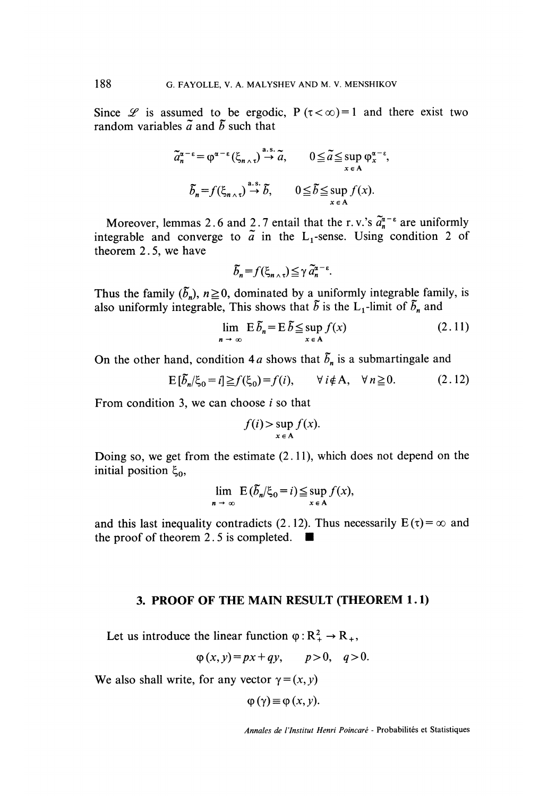Since  $\mathscr L$  is assumed to be ergodic. P ( $\tau < \infty$ ) = 1 and there exist two random variables  $\tilde{a}$  and  $\tilde{b}$  such that

$$
\tilde{a}_n^{\alpha-\epsilon} = \varphi^{\alpha-\epsilon} (\xi_{n \wedge \tau}) \stackrel{\text{a.s.}}{\to} \tilde{a}, \qquad 0 \le \tilde{a} \le \sup_{x \in A} \varphi_x^{\alpha-\epsilon},
$$

$$
\tilde{b}_n = f(\xi_{n \wedge \tau}) \stackrel{\text{a.s.}}{\to} \tilde{b}, \qquad 0 \le \tilde{b} \le \sup_{x \in A} f(x).
$$

Moreover, lemmas 2.6 and 2.7 entail that the r. v.'s  $\tilde{a}_n^{\alpha-\epsilon}$  are uniformly integrable and converge to  $\tilde{a}$  in the L<sub>1</sub>-sense. Using condition 2 of theorem 2. 5, we have

$$
\widetilde{b}_n = f(\xi_{n} \wedge \tau) \leq \gamma \widetilde{a}_n^{\alpha - \epsilon}.
$$

Thus the family  $(\tilde{b}_n)$ ,  $n \ge 0$ , dominated by a uniformly integrable family, is also uniformly integrable, This shows that  $\tilde{b}$  is the L<sub>1</sub>-limit of  $\tilde{b}_n$  and

$$
\lim_{n \to \infty} E \, \tilde{b}_n = E \, \tilde{b} \leq \sup_{x \in A} f(x) \tag{2.11}
$$

On the other hand, condition 4a shows that  $\tilde{b}_n$  is a submartingale and

$$
E[\tilde{b}_n/\xi_0 = i] \ge f(\xi_0) = f(i), \qquad \forall i \notin A, \quad \forall n \ge 0. \tag{2.12}
$$

From condition 3, we can choose  $i$  so that

$$
f(i) > \sup_{x \in A} f(x)
$$

Doing so, we get from the estimate  $(2.11)$ , which does not depend on the initial position  $\xi_0$ ,

$$
\lim_{n \to \infty} E(\tilde{b}_n/\xi_0 = i) \leq \sup_{x \in A} f(x),
$$

and this last inequality contradicts (2.12). Thus necessarily  $E(\tau) = \infty$  and the proof of theorem 2.5 is completed.  $\blacksquare$ 

### 3. PROOF OF THE MAIN RESULT (THEOREM 1.1)

Let us introduce the linear function  $\varphi : R^2_+ \to R_+$ ,

$$
\varphi(x, y) = px + qy, \qquad p > 0, \quad q > 0
$$

We also shall write, for any vector  $\gamma = (x, y)$ 

$$
\varphi(\gamma) \equiv \varphi(x, y).
$$

Annales de l'Institut Henri Poincaré - Probabilités et Statistiques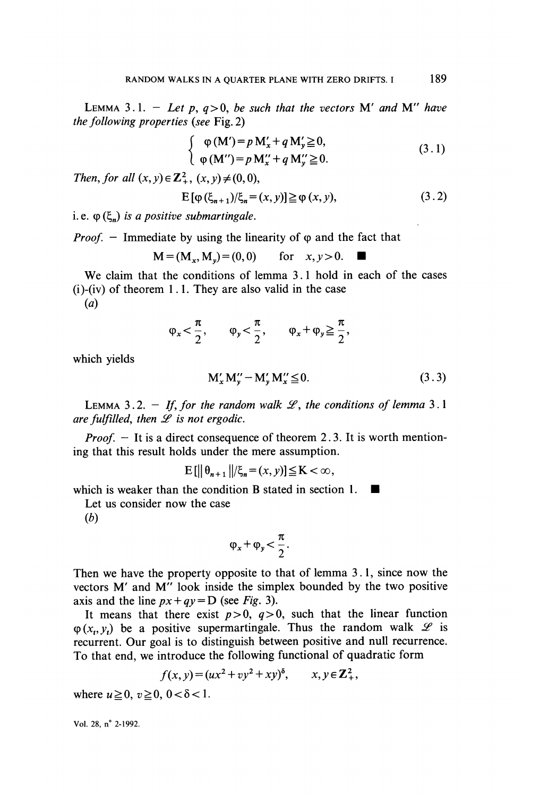LEMMA 3.1. - Let p,  $q>0$ , be such that the vectors M' and M'' have the following properties (see Fig. 2)

$$
\begin{cases}\n\varphi(M') = p M'_x + q M'_y \ge 0, \\
\varphi(M'') = p M''_x + q M''_y \ge 0.\n\end{cases}
$$
\n(3.1)

Then, for all  $(x, y) \in \mathbb{Z}_{+}^{2}$ ,  $(x, y) \neq (0, 0)$ ,

$$
E[\varphi(\xi_{n+1})/\xi_n = (x, y)] \ge \varphi(x, y),
$$
\n(3.2)

i. e.  $\varphi$  ( $\xi$ ) is a positive submartingale.

*Proof.*  $-$  Immediate by using the linearity of  $\varphi$  and the fact that

 $M = (M_{\star}, M_{\star}) = (0, 0)$ for  $x, y>0$ .

We claim that the conditions of lemma 3.1 hold in each of the cases  $(i)$ - $(iv)$  of theorem 1.1. They are also valid in the case (a)

$$
\phi_x \!<\! \frac{\pi}{2}, \qquad \phi_y \!<\! \frac{\pi}{2}, \qquad \phi_x \!+\! \phi_y \!\geqq\! \frac{\pi}{2},
$$

which yields

$$
M'_{x} M''_{v} - M'_{v} M''_{x} \leq 0. \qquad (3.3)
$$

LEMMA 3.2. - If, for the random walk  $\mathcal{L}$ , the conditions of lemma 3.1 are fulfilled, then  $\mathscr L$  is not ergodic.

*Proof.*  $-$  It is a direct consequence of theorem 2.3. It is worth mentioning that this result holds under the mere assumption.

 $\mathbb{E}[\|\theta_{n+1}\|/\xi_n = (x, y)] \leq K < \infty$ ,

which is weaker than the condition B stated in section 1.

Let us consider now the case

(b)

$$
\varphi_x + \varphi_y < \frac{\pi}{2}.
$$

Then we have the property opposite to that of lemma 3 .1, since now the vectors M' and M" look inside the simplex bounded by the two positive axis and the line  $px+qy = D$  (see Fig. 3).

It means that there exist  $p>0$ ,  $q>0$ , such that the linear function  $\varphi(x_n, y_n)$  be a positive supermartingale. Thus the random walk  $\mathscr L$  is recurrent. Our goal is to distinguish between positive and null recurrence. To that end, we introduce the following functional of quadratic form

$$
f(x, y) = (ux2 + vy2 + xy)δ, \qquad x, y \in \mathbb{Z}^2_+,
$$

where  $u \ge 0$ ,  $v \ge 0$ ,  $0 < \delta < 1$ .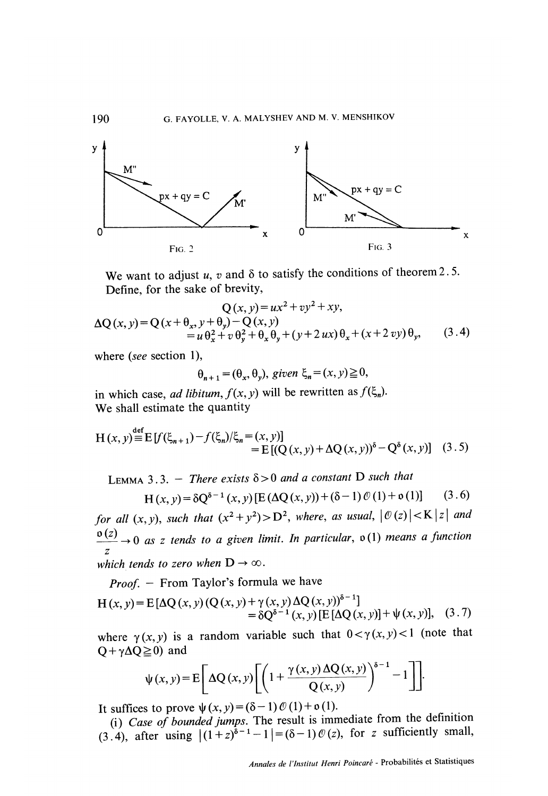

We want to adjust u, v and  $\delta$  to satisfy the conditions of theorem 2.5. Define, for the sake of brevity,

$$
Q(x, y) = ux^{2} + vy^{2} + xy,
$$
  
\n
$$
\Delta Q(x, y) = Q(x + \theta_{x}, y + \theta_{y}) - Q(x, y)
$$
  
\n
$$
= u \theta_{x}^{2} + v \theta_{y}^{2} + \theta_{x} \theta_{y} + (y + 2ux) \theta_{x} + (x + 2vy) \theta_{y},
$$
\n(3.4)

where *(see* section 1),

$$
\theta_{n+1} = (\theta_x, \theta_y)
$$
, given  $\xi_n = (x, y) \ge 0$ ,

in which case, ad libitum,  $f(x, y)$  will be rewritten as  $f(\xi_n)$ . We shall estimate the quantity

$$
H(x, y) \stackrel{\text{def}}{=} E[f(\xi_{n+1}) - f(\xi_n)/\xi_n = (x, y)]
$$
  
=  $E[(Q(x, y) + \Delta Q(x, y))^{\delta} - Q^{\delta}(x, y)]$  (3.5)

LEMMA 3.3. - There exists  $\delta > 0$  and a constant D such that

$$
H(x, y) = \delta Q^{\delta - 1}(x, y) [E(\Delta Q(x, y)) + (\delta - 1) \mathcal{O}(1) + o(1)] \quad (3.6)
$$

for all  $(x, y)$ , such that  $(x^2 + y^2) > D^2$ , where, as usual,  $|\mathcal{O}(z)| < K |z|$  and  $\frac{\partial(z)}{z} \to 0$  as z tends to a given limit. In particular,  $\delta(1)$  means a function which tends to zero when  $D \to \infty$ .

Proof. - From Taylor's formula we have

$$
H(x, y) = E[\Delta Q(x, y) (Q(x, y) + \gamma(x, y) \Delta Q(x, y))^{s-1}]
$$
  
=  $\delta Q^{s-1}(x, y) [E[\Delta Q(x, y)] + \psi(x, y)],$  (3.7)

where  $\gamma(x, y)$  is a random variable such that  $0 < \gamma(x, y) < 1$  (note that  $Q + \gamma \Delta Q \geq 0$  and

$$
\psi(x, y) = E\left[\Delta Q(x, y)\left[\left(1 + \frac{\gamma(x, y) \Delta Q(x, y)}{Q(x, y)}\right)^{\delta - 1} - 1\right]\right].
$$

It suffices to prove  $\psi(x, y) = (\delta - 1) \mathcal{O}(1) + o(1)$ .

(i) Case of bounded jumps. The result is immediate from the definition (3.4), after using  $|(1+z)^{\delta-1}-1|=(\delta-1)~\mathcal{O}(z)$ , for z sufficiently small,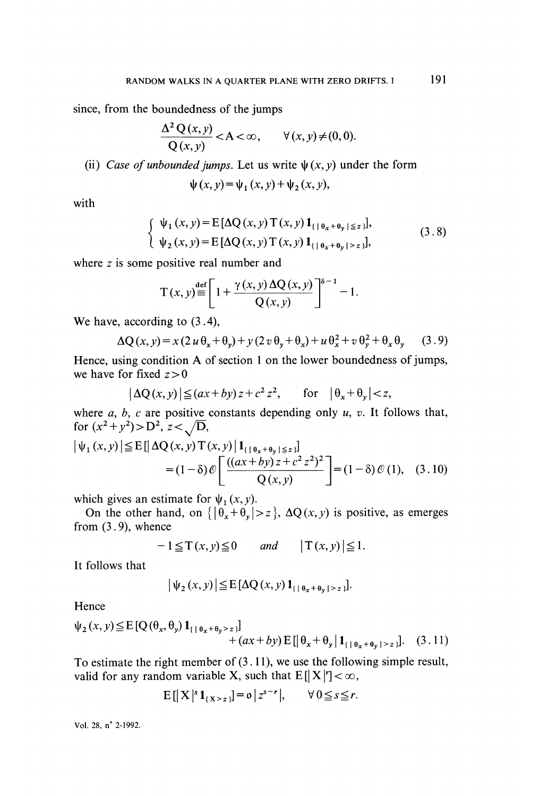since, from the boundedness of the jumps

$$
\frac{\Delta^2 Q(x, y)}{Q(x, y)} < A < \infty, \qquad \forall (x, y) \neq (0, 0).
$$

(ii) Case of unbounded jumps. Let us write  $\psi(x, y)$  under the form

$$
\psi(x, y) = \psi_1(x, y) + \psi_2(x, y),
$$

with

$$
\begin{cases} \psi_1(x, y) = E[\Delta Q(x, y) T(x, y) 1_{\{| \theta_x + \theta_y | \le z\}}], \\ \psi_2(x, y) = E[\Delta Q(x, y) T(x, y) 1_{\{| \theta_x + \theta_y | > z\}}], \end{cases}
$$
(3.8)

where z is some positive real number and

$$
T(x, y) \equiv \left[1 + \frac{\gamma(x, y) \Delta Q(x, y)}{Q(x, y)}\right]^{s-1} - 1.
$$

We have, according to (3.4),

$$
\Delta Q(x, y) = x (2 u \theta_x + \theta_y) + y (2 v \theta_y + \theta_x) + u \theta_x^2 + v \theta_y^2 + \theta_x \theta_y \qquad (3.9)
$$

Hence, using condition A of section 1 on the lower boundedness of jumps, we have for fixed  $z > 0$ 

$$
\left|\Delta Q(x,y)\right| \le (ax+by) z + c^2 z^2, \qquad \text{for} \quad \left|\theta_x + \theta_y\right| < z,
$$

where  $a, b, c$  are positive constants depending only  $u, v$ . It follows that, for  $(x^2 + y^2) > D^2$ ,  $z < \sqrt{D}$ ,

$$
\left| \psi_{1}(x, y) \right| \leq E\left[ \left| \Delta Q(x, y) T(x, y) \right| \mathbf{1}_{\{ \left| \theta_{x} + \theta_{y} \right| \leq z \} } \right]
$$
  
=  $(1 - \delta) \mathcal{O}\left[ \frac{((ax + by) z + c^{2} z^{2})^{2}}{Q(x, y)} \right] = (1 - \delta) \mathcal{O}(1),$  (3.10)

which gives an estimate for  $\psi_1(x, y)$ .

On the other hand, on  $\left\{ |\theta_x + \theta_y| > z \right\}$ ,  $\Delta Q(x, y)$  is positive, as emerges from  $(3.9)$ , whence

$$
-1 \leq T(x, y) \leq 0 \qquad \text{and} \qquad |T(x, y)| \leq 1.
$$

It follows that

$$
\left|\psi_2(x,y)\right| \leq E\left[\Delta Q(x,y)\mathbf{1}_{\{\mid \theta_x + \theta_y \mid z\}\right]}.
$$

Hence

$$
\psi_2(x, y) \le \mathbb{E}\left[Q(\theta_x, \theta_y) \mathbf{1}_{\{\theta_x + \theta_y > z\}}\right] + (ax + by) \mathbb{E}\left[\left|\theta_x + \theta_y \right| \mathbf{1}_{\{\theta_x + \theta_y \mid z_z\}}\right].
$$
 (3.11)

To estimate the right member of  $(3.11)$ , we use the following simple result, valid for any random variable X, such that  $E[|X|'] < \infty$ ,

$$
\mathbf{E}\left[\left|\mathbf{X}\right|^{s}\mathbf{1}_{\{X>z\}}\right] = \mathbf{0}\left|z^{s-r}\right|, \qquad \forall 0 \leq s \leq r.
$$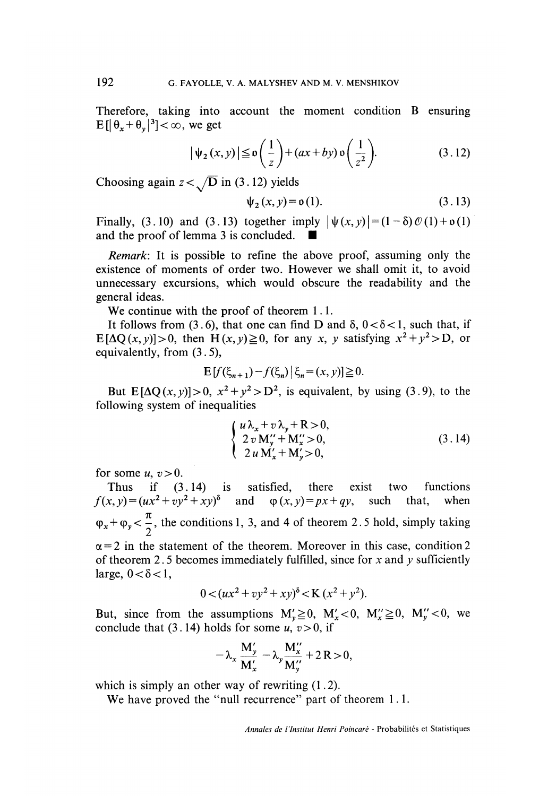Therefore, taking into account the moment condition B ensuring  $E[|\theta_x + \theta_y|^3] < \infty$ , we get

$$
\left|\psi_{2}\left(x,y\right)\right| \leq \mathfrak{o}\left(\frac{1}{z}\right) + \left(ax + by\right)\mathfrak{o}\left(\frac{1}{z^{2}}\right). \tag{3.12}
$$

Choosing again  $z < \sqrt{D}$  in (3.12) yields

$$
\psi_2(x, y) = o(1). \tag{3.13}
$$

Finally, (3.10) and (3.13) together imply  $|\psi(x, y)| = (1-\delta) \mathcal{O}(1) + o(1)$ and the proof of lemma 3 is concluded..

Remark: It is possible to refine the above proof, assuming only the existence of moments of order two. However we shall omit it, to avoid unnecessary excursions, which would obscure the readability and the general ideas.

We continue with the proof of theorem 1.1.

It follows from (3.6), that one can find D and  $\delta$ ,  $0 < \delta < 1$ , such that, if  $E[\Delta Q(x, y)] > 0$ , then  $H(x, y) \ge 0$ , for any x, y satisfying  $x^2 + y^2 > D$ , or equivalently, from (3.5),

$$
E[f(\xi_{n+1}) - f(\xi_n) | \xi_n = (x, y)] \ge 0.
$$

But  $E[\Delta Q(x, y)] > 0$ ,  $x^2 + y^2 > D^2$ , is equivalent, by using (3.9), to the following system of inequalities

$$
\begin{cases}\n u \lambda_x + v \lambda_y + R > 0, \\
 2 v M''_y + M''_x > 0, \\
 2 u M'_x + M'_y > 0,\n\end{cases}
$$
\n(3.14)

for some  $u, v > 0$ .

Thus if (3.14) is satisfied, there exist two functions  $x, y = (ux^2 + vv^2 + xv)^{\delta}$  and  $\omega(x, y) = px + av$ , such that, when  $f(x, y) = (ux^2 + vy^2 + xy)^{\delta}$  and  $\varphi(x, y) = px + qy$ , such that, when  $\varphi_x + \varphi_y < \frac{\pi}{2}$ , the conditions 1, 3, and 4 of theorem 2.5 hold, simply taking  $\alpha$  = 2 in the statement of the theorem. Moreover in this case, condition 2

of theorem 2.5 becomes immediately fulfilled, since for x and y sufficiently large,  $0 < \delta < 1$ ,

$$
0 < (ux^{2} + vy^{2} + xy)^{\delta} < K (x^{2} + y^{2}).
$$

But, since from the assumptions  $M'_y \ge 0$ ,  $M'_x < 0$ ,  $M''_x \ge 0$ ,  $M''_y < 0$ , we conclude that (3.14) holds for some  $u, v > 0$ , if

$$
-\lambda_x \frac{\mathbf{M}_y'}{\mathbf{M}_x'} - \lambda_y \frac{\mathbf{M}_x''}{\mathbf{M}_y''} + 2 \mathbf{R} > 0,
$$

which is simply an other way of rewriting  $(1.2)$ .

We have proved the "null recurrence" part of theorem 1.1.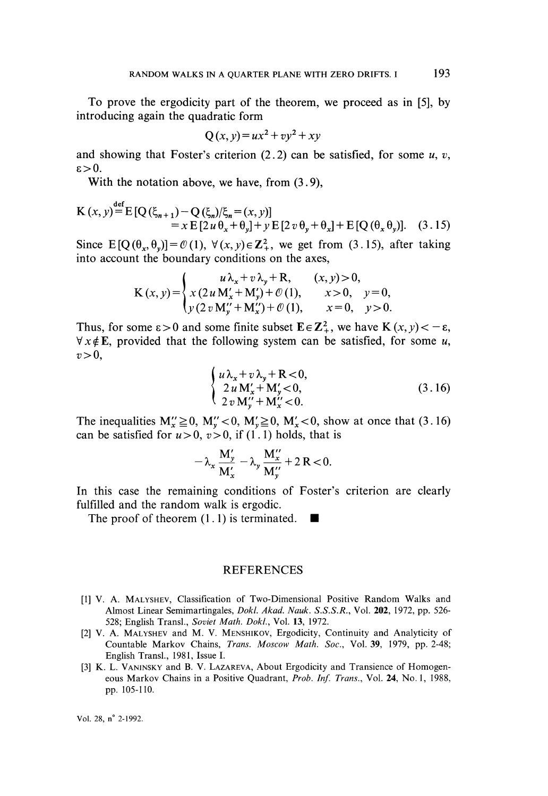To prove the ergodicity part of the theorem, we proceed as in [5], by introducing again the quadratic form

$$
Q(x, y) = ux^2 + vy^2 + xy
$$

and showing that Foster's criterion  $(2.2)$  can be satisfied, for some u, v,  $s > 0$ 

With the notation above, we have, from  $(3.9)$ ,

$$
K(x, y) = E[Q(\xi_{n+1}) - Q(\xi_n)/\xi_n = (x, y)]
$$
  
=  $x E[2u \theta_x + \theta_y] + y E[2v \theta_y + \theta_x] + E[Q(\theta_x \theta_y)].$  (3.15)

Since  $E[Q(\theta_x, \theta_y)] = \mathcal{O}(1)$ ,  $\forall (x, y) \in \mathbb{Z}_+^2$ , we get from (3.15), after taking into account the boundary conditions on the axes,

$$
K(x, y) = \begin{cases} u\lambda_x + v\lambda_y + R, & (x, y) > 0, \\ x(2u M'_x + M'_y) + \mathcal{O}(1), & x > 0, y = 0, \\ y(2v M''_y + M''_x) + \mathcal{O}(1), & x = 0, y > 0. \end{cases}
$$

Thus, for some  $\epsilon > 0$  and some finite subset  $\mathbf{E} \in \mathbb{Z}_+^2$ , we have  $K(x, y) < -\epsilon$ ,  $\forall x \notin E$ , provided that the following system can be satisfied, for some u,  $v > 0$ ,

$$
\begin{cases}\n u \lambda_x + v \lambda_y + R < 0, \\
 2 u M'_x + M'_y < 0, \\
 2 v M''_y + M''_x < 0.\n\end{cases} \tag{3.16}
$$

The inequalities  $M''_x \ge 0$ ,  $M''_y < 0$ ,  $M'_y \ge 0$ ,  $M'_x < 0$ , show at once that (3.16) can be satisfied for  $u > 0$ ,  $v > 0$ , if (1.1) holds, that is

$$
-\lambda_x \, \frac{M'_y}{M'_x} - \lambda_y \, \frac{M''_x}{M''_y} + 2R < 0.
$$

In this case the remaining conditions of Foster's criterion are clearly fulfilled and the random walk is ergodic.

The proof of theorem  $(1.1)$  is terminated.

#### REFERENCES

- [1] V. A. MALYSHEV, Classification of Two-Dimensional Positive Random Walks and Almost Linear Semimartingales, Dokl. Akad. Nauk. S.S.S.R., Vol. 202, 1972, pp. 526- 528; English Transl., Soviet Math. Dokl., Vol. 13, 1972.
- [2] V. A. MALYSHEV and M. V. MENSHIKOV, Ergodicity, Continuity and Analyticity of Countable Markov Chains, Trans. Moscow Math. Soc., Vol. 39, 1979, pp. 2-48; English Transl., 1981, Issue I.
- [3] K. L. VANINSKY and B. V. LAZAREVA, About Ergodicity and Transience of Homogen eous Markov Chains in a Positive Quadrant, Prob. Inf. Trans., Vol. 24, No. 1, 1988, pp. 105-110.